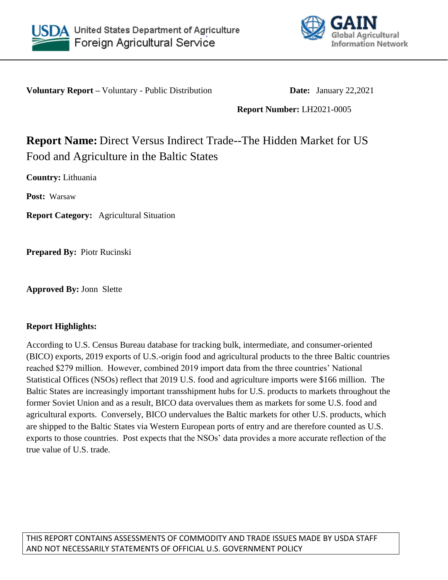



**Voluntary Report –** Voluntary - Public Distribution **Date:** January 22,2021

**Report Number:** LH2021-0005

# **Report Name:** Direct Versus Indirect Trade--The Hidden Market for US Food and Agriculture in the Baltic States

**Country:** Lithuania

**Post:** Warsaw

**Report Category:** Agricultural Situation

**Prepared By:** Piotr Rucinski

**Approved By:** Jonn Slette

# **Report Highlights:**

According to U.S. Census Bureau database for tracking bulk, intermediate, and consumer-oriented (BICO) exports, 2019 exports of U.S.-origin food and agricultural products to the three Baltic countries reached \$279 million. However, combined 2019 import data from the three countries' National Statistical Offices (NSOs) reflect that 2019 U.S. food and agriculture imports were \$166 million. The Baltic States are increasingly important transshipment hubs for U.S. products to markets throughout the former Soviet Union and as a result, BICO data overvalues them as markets for some U.S. food and agricultural exports. Conversely, BICO undervalues the Baltic markets for other U.S. products, which are shipped to the Baltic States via Western European ports of entry and are therefore counted as U.S. exports to those countries. Post expects that the NSOs' data provides a more accurate reflection of the true value of U.S. trade.

THIS REPORT CONTAINS ASSESSMENTS OF COMMODITY AND TRADE ISSUES MADE BY USDA STAFF AND NOT NECESSARILY STATEMENTS OF OFFICIAL U.S. GOVERNMENT POLICY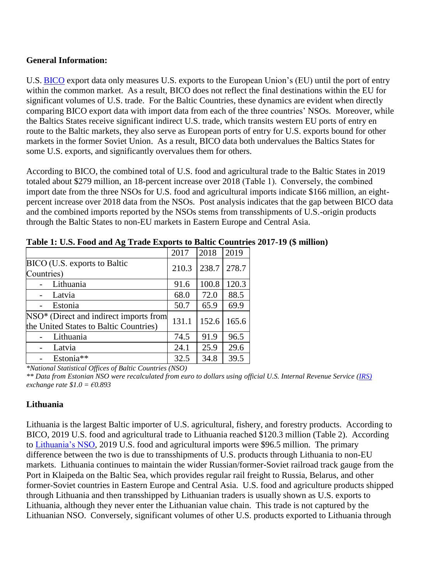## **General Information:**

U.S. [BICO](https://apps.fas.usda.gov/gats/default.aspx) export data only measures U.S. exports to the European Union's (EU) until the port of entry within the common market. As a result, BICO does not reflect the final destinations within the EU for significant volumes of U.S. trade. For the Baltic Countries, these dynamics are evident when directly comparing BICO export data with import data from each of the three countries' NSOs. Moreover, while the Baltics States receive significant indirect U.S. trade, which transits western EU ports of entry en route to the Baltic markets, they also serve as European ports of entry for U.S. exports bound for other markets in the former Soviet Union. As a result, BICO data both undervalues the Baltics States for some U.S. exports, and significantly overvalues them for others.

According to BICO, the combined total of U.S. food and agricultural trade to the Baltic States in 2019 totaled about \$279 million, an 18-percent increase over 2018 (Table 1).  Conversely, the combined import date from the three NSOs for U.S. food and agricultural imports indicate \$166 million, an eightpercent increase over 2018 data from the NSOs. Post analysis indicates that the gap between BICO data and the combined imports reported by the NSOs stems from transshipments of U.S.-origin products through the Baltic States to non-EU markets in Eastern Europe and Central Asia.

|                                                                                  | 2017  | 2018  | 2019  |
|----------------------------------------------------------------------------------|-------|-------|-------|
| BICO (U.S. exports to Baltic<br>Countries)                                       | 210.3 | 238.7 | 278.7 |
| Lithuania                                                                        | 91.6  | 100.8 | 120.3 |
| Latvia                                                                           | 68.0  | 72.0  | 88.5  |
| Estonia                                                                          | 50.7  | 65.9  | 69.9  |
| NSO* (Direct and indirect imports from<br>the United States to Baltic Countries) | 131.1 | 152.6 | 165.6 |
| Lithuania                                                                        | 74.5  | 91.9  | 96.5  |
| Latvia                                                                           | 24.1  | 25.9  | 29.6  |
| Estonia**                                                                        | 32.5  | 34.8  | 39.5  |

**Table 1: U.S. Food and Ag Trade Exports to Baltic Countries 2017-19 (\$ million)**

*\*National Statistical Offices of Baltic Countries (NSO)*

*\*\* Data from Estonian NSO were recalculated from euro to dollars using official U.S. Internal Revenue Service [\(IRS\)](https://www.irs.gov/individuals/international-taxpayers/yearly-average-currency-exchange-rates) exchange rate \$1.0 = €0.893*

# **Lithuania**

Lithuania is the largest Baltic importer of U.S. agricultural, fishery, and forestry products. According to BICO, 2019 U.S. food and agricultural trade to Lithuania reached \$120.3 million (Table 2). According to [Lithuania's NSO,](https://osp.stat.gov.lt/statistiniu-rodikliu-analize#/) 2019 U.S. food and agricultural imports were \$96.5 million. The primary difference between the two is due to transshipments of U.S. products through Lithuania to non-EU markets. Lithuania continues to maintain the wider Russian/former-Soviet railroad track gauge from the Port in Klaipeda on the Baltic Sea, which provides regular rail freight to Russia, Belarus, and other former-Soviet countries in Eastern Europe and Central Asia. U.S. food and agriculture products shipped through Lithuania and then transshipped by Lithuanian traders is usually shown as U.S. exports to Lithuania, although they never enter the Lithuanian value chain. This trade is not captured by the Lithuanian NSO. Conversely, significant volumes of other U.S. products exported to Lithuania through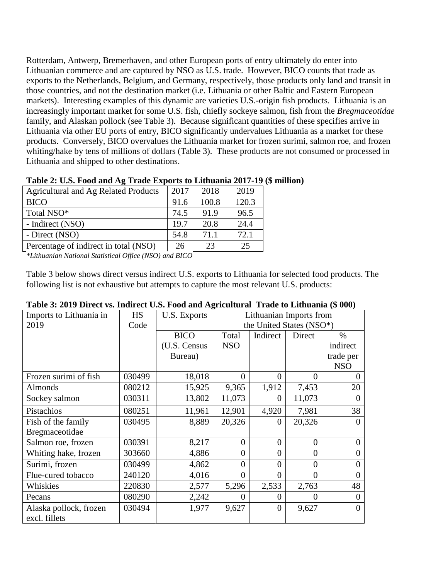Rotterdam, Antwerp, Bremerhaven, and other European ports of entry ultimately do enter into Lithuanian commerce and are captured by NSO as U.S. trade. However, BICO counts that trade as exports to the Netherlands, Belgium, and Germany, respectively, those products only land and transit in those countries, and not the destination market (i.e. Lithuania or other Baltic and Eastern European markets). Interesting examples of this dynamic are varieties U.S.-origin fish products. Lithuania is an increasingly important market for some U.S. fish, chiefly sockeye salmon, fish from the *Bregmaceotidae* family, and Alaskan pollock (see Table 3). Because significant quantities of these specifies arrive in Lithuania via other EU ports of entry, BICO significantly undervalues Lithuania as a market for these products. Conversely, BICO overvalues the Lithuania market for frozen surimi, salmon roe, and frozen whiting/hake by tens of millions of dollars (Table 3). These products are not consumed or processed in Lithuania and shipped to other destinations.

| 2017 | 2018  | 2019                                                                 |
|------|-------|----------------------------------------------------------------------|
| 91.6 | 100.8 | 120.3                                                                |
| 74.5 | 91.9  | 96.5                                                                 |
| 19.7 | 20.8  | 24.4                                                                 |
| 54.8 | 71.1  | 72.1                                                                 |
| 26   | 23    | 25                                                                   |
|      |       | Table 2. U.S. Food and $\Delta g$ Trage exports to Enfinance 2017-17 |

#### **Table 2: U.S. Food and Ag Trade Exports to Lithuania 2017-19 (\$ million)**

*\*Lithuanian National Statistical Office (NSO) and BICO*

Table 3 below shows direct versus indirect U.S. exports to Lithuania for selected food products. The following list is not exhaustive but attempts to capture the most relevant U.S. products:

| Imports to Lithuania in | <b>HS</b> | <b>U.S. Exports</b> | Lithuanian Imports from  |                  |                |            |
|-------------------------|-----------|---------------------|--------------------------|------------------|----------------|------------|
| 2019                    | Code      |                     | the United States (NSO*) |                  |                |            |
|                         |           | <b>BICO</b>         | Total                    | Indirect         | Direct         | $\%$       |
|                         |           | (U.S. Census        | <b>NSO</b>               |                  |                | indirect   |
|                         |           | Bureau)             |                          |                  |                | trade per  |
|                         |           |                     |                          |                  |                | <b>NSO</b> |
| Frozen surimi of fish   | 030499    | 18,018              | $\boldsymbol{0}$         | $\boldsymbol{0}$ | $\overline{0}$ | $\theta$   |
| Almonds                 | 080212    | 15,925              | 9,365                    | 1,912            | 7,453          | 20         |
| Sockey salmon           | 030311    | 13,802              | 11,073                   | 0                | 11,073         | 0          |
| Pistachios              | 080251    | 11,961              | 12,901                   | 4,920            | 7,981          | 38         |
| Fish of the family      | 030495    | 8,889               | 20,326                   | $\theta$         | 20,326         | 0          |
| Bregmaceotidae          |           |                     |                          |                  |                |            |
| Salmon roe, frozen      | 030391    | 8,217               | $\theta$                 | $\overline{0}$   | $\overline{0}$ | $\Omega$   |
| Whiting hake, frozen    | 303660    | 4,886               | $\overline{0}$           | $\overline{0}$   | $\overline{0}$ | 0          |
| Surimi, frozen          | 030499    | 4,862               | $\overline{0}$           | $\overline{0}$   | $\overline{0}$ | $\theta$   |
| Flue-cured tobacco      | 240120    | 4,016               | $\overline{0}$           | $\theta$         | $\theta$       | 0          |
| Whiskies                | 220830    | 2,577               | 5,296                    | 2,533            | 2,763          | 48         |
| Pecans                  | 080290    | 2,242               | $\theta$                 | 0                | $\Omega$       | 0          |
| Alaska pollock, frozen  | 030494    | 1,977               | 9,627                    | $\overline{0}$   | 9,627          | 0          |
| excl. fillets           |           |                     |                          |                  |                |            |

#### **Table 3: 2019 Direct vs. Indirect U.S. Food and Agricultural Trade to Lithuania (\$ 000)**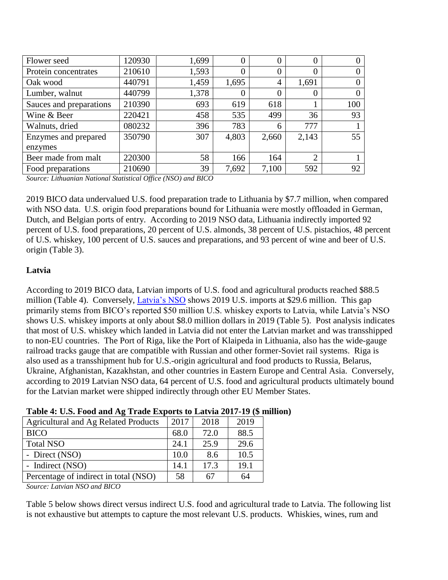| Flower seed             | 120930 | 1,699 | 0     | 0     | U              | 0   |
|-------------------------|--------|-------|-------|-------|----------------|-----|
| Protein concentrates    | 210610 | 1,593 | 0     | 0     | 0              |     |
| Oak wood                | 440791 | 1,459 | 1,695 | 4     | 1,691          | 0   |
| Lumber, walnut          | 440799 | 1,378 | 0     | 0     |                |     |
| Sauces and preparations | 210390 | 693   | 619   | 618   |                | 100 |
| Wine & Beer             | 220421 | 458   | 535   | 499   | 36             | 93  |
| Walnuts, dried          | 080232 | 396   | 783   | 6     | 777            |     |
| Enzymes and prepared    | 350790 | 307   | 4,803 | 2,660 | 2,143          | 55  |
| enzymes                 |        |       |       |       |                |     |
| Beer made from malt     | 220300 | 58    | 166   | 164   | $\overline{2}$ |     |
| Food preparations       | 210690 | 39    | 7,692 | 7,100 | 592            | 92  |

*Source: Lithuanian National Statistical Office (NSO) and BICO*

2019 BICO data undervalued U.S. food preparation trade to Lithuania by \$7.7 million, when compared with NSO data. U.S. origin food preparations bound for Lithuania were mostly offloaded in German, Dutch, and Belgian ports of entry. According to 2019 NSO data, Lithuania indirectly imported 92 percent of U.S. food preparations, 20 percent of U.S. almonds, 38 percent of U.S. pistachios, 48 percent of U.S. whiskey, 100 percent of U.S. sauces and preparations, and 93 percent of wine and beer of U.S. origin (Table 3).

### **Latvia**

According to 2019 BICO data, Latvian imports of U.S. food and agricultural products reached \$88.5 million (Table 4). Conversely, *Latvia's NSO* shows 2019 U.S. imports at \$29.6 million. This gap primarily stems from BICO's reported \$50 million U.S. whiskey exports to Latvia, while Latvia's NSO shows U.S. whiskey imports at only about \$8.0 million dollars in 2019 (Table 5). Post analysis indicates that most of U.S. whiskey which landed in Latvia did not enter the Latvian market and was transshipped to non-EU countries. The Port of Riga, like the Port of Klaipeda in Lithuania, also has the wide-gauge railroad tracks gauge that are compatible with Russian and other former-Soviet rail systems. Riga is also used as a transshipment hub for U.S.-origin agricultural and food products to Russia, Belarus, Ukraine, Afghanistan, Kazakhstan, and other countries in Eastern Europe and Central Asia. Conversely, according to 2019 Latvian NSO data, 64 percent of U.S. food and agricultural products ultimately bound for the Latvian market were shipped indirectly through other EU Member States.

| Agricultural and Ag Related Products  | 2017 | 2018 | 2019 |
|---------------------------------------|------|------|------|
| <b>BICO</b>                           | 68.0 | 72.0 | 88.5 |
| <b>Total NSO</b>                      | 24.1 | 25.9 | 29.6 |
| - Direct (NSO)                        | 10.0 | 8.6  | 10.5 |
| - Indirect (NSO)                      | 14.1 | 17.3 | 19.1 |
| Percentage of indirect in total (NSO) | 58   | 67   | 64   |

*Source: Latvian NSO and BICO*

Table 5 below shows direct versus indirect U.S. food and agricultural trade to Latvia. The following list is not exhaustive but attempts to capture the most relevant U.S. products. Whiskies, wines, rum and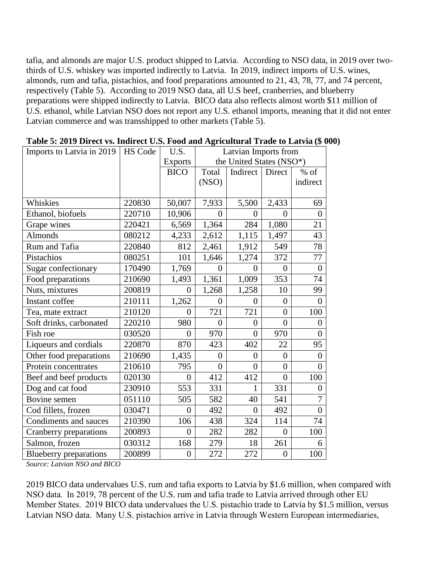tafia, and almonds are major U.S. product shipped to Latvia. According to NSO data, in 2019 over twothirds of U.S. whiskey was imported indirectly to Latvia. In 2019, indirect imports of U.S. wines, almonds, rum and tafia, pistachios, and food preparations amounted to 21, 43, 78, 77, and 74 percent, respectively (Table 5). According to 2019 NSO data, all U.S beef, cranberries, and blueberry preparations were shipped indirectly to Latvia. BICO data also reflects almost worth \$11 million of U.S. ethanol, while Latvian NSO does not report any U.S. ethanol imports, meaning that it did not enter Latvian commerce and was transshipped to other markets (Table 5).

| Imports to Latvia in 2019     | <b>HS Code</b> | U.S.           | Latvian Imports from |                          |                |                  |
|-------------------------------|----------------|----------------|----------------------|--------------------------|----------------|------------------|
|                               |                | <b>Exports</b> |                      | the United States (NSO*) |                |                  |
|                               |                | <b>BICO</b>    | Total                | Indirect                 | Direct         | $%$ of           |
|                               |                |                | (NSO)                |                          |                | indirect         |
|                               |                |                |                      |                          |                |                  |
| Whiskies                      | 220830         | 50,007         | 7,933                | 5,500                    | 2,433          | 69               |
| Ethanol, biofuels             | 220710         | 10,906         | $\overline{0}$       | $\boldsymbol{0}$         | $\overline{0}$ | $\overline{0}$   |
| Grape wines                   | 220421         | 6,569          | 1,364                | 284                      | 1,080          | 21               |
| <b>Almonds</b>                | 080212         | 4,233          | 2,612                | 1,115                    | 1,497          | 43               |
| Rum and Tafia                 | 220840         | 812            | 2,461                | 1,912                    | 549            | 78               |
| Pistachios                    | 080251         | 101            | 1,646                | 1,274                    | 372            | 77               |
| Sugar confectionary           | 170490         | 1,769          | $\overline{0}$       | $\overline{0}$           | $\overline{0}$ | $\overline{0}$   |
| Food preparations             | 210690         | 1,493          | 1,361                | 1,009                    | 353            | 74               |
| Nuts, mixtures                | 200819         | $\theta$       | 1,268                | 1,258                    | 10             | 99               |
| Instant coffee                | 210111         | 1,262          | $\overline{0}$       | $\overline{0}$           | $\overline{0}$ | $\boldsymbol{0}$ |
| Tea, mate extract             | 210120         | $\Omega$       | 721                  | 721                      | $\overline{0}$ | 100              |
| Soft drinks, carbonated       | 220210         | 980            | $\overline{0}$       | $\overline{0}$           | $\overline{0}$ | $\boldsymbol{0}$ |
| Fish roe                      | 030520         | $\overline{0}$ | 970                  | $\overline{0}$           | 970            | $\overline{0}$   |
| Liqueurs and cordials         | 220870         | 870            | 423                  | 402                      | 22             | 95               |
| Other food preparations       | 210690         | 1,435          | $\overline{0}$       | $\boldsymbol{0}$         | $\overline{0}$ | $\boldsymbol{0}$ |
| Protein concentrates          | 210610         | 795            | $\overline{0}$       | $\overline{0}$           | $\overline{0}$ | $\overline{0}$   |
| Beef and beef products        | 020130         | $\overline{0}$ | 412                  | 412                      | $\overline{0}$ | 100              |
| Dog and cat food              | 230910         | 553            | 331                  | $\mathbf{1}$             | 331            | $\overline{0}$   |
| Bovine semen                  | 051110         | 505            | 582                  | 40                       | 541            | $\overline{7}$   |
| Cod fillets, frozen           | 030471         | $\overline{0}$ | 492                  | $\boldsymbol{0}$         | 492            | $\overline{0}$   |
| Condiments and sauces         | 210390         | 106            | 438                  | 324                      | 114            | 74               |
| Cranberry preparations        | 200893         | $\overline{0}$ | 282                  | 282                      | $\overline{0}$ | 100              |
| Salmon, frozen                | 030312         | 168            | 279                  | 18                       | 261            | 6                |
| <b>Blueberry</b> preparations | 200899         | $\overline{0}$ | 272                  | 272                      | $\overline{0}$ | 100              |

**Table 5: 2019 Direct vs. Indirect U.S. Food and Agricultural Trade to Latvia (\$ 000)**

*Source: Latvian NSO and BICO*

2019 BICO data undervalues U.S. rum and tafia exports to Latvia by \$1.6 million, when compared with NSO data.  In 2019, 78 percent of the U.S. rum and tafia trade to Latvia arrived through other EU Member States. 2019 BICO data undervalues the U.S. pistachio trade to Latvia by \$1.5 million, versus Latvian NSO data.  Many U.S. pistachios arrive in Latvia through Western European intermediaries,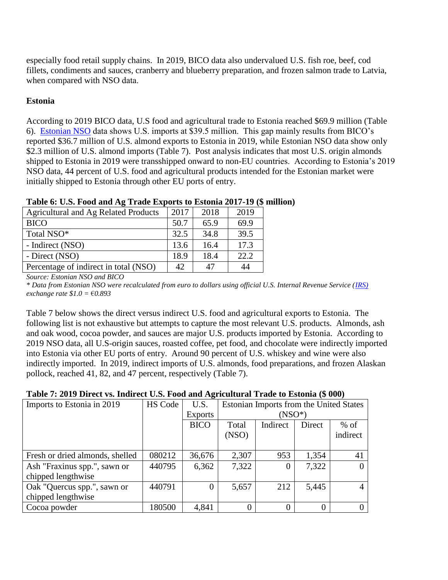especially food retail supply chains. In 2019, BICO data also undervalued U.S. fish roe, beef, cod fillets, condiments and sauces, cranberry and blueberry preparation, and frozen salmon trade to Latvia, when compared with NSO data. 

## **Estonia**

According to 2019 BICO data, U.S food and agricultural trade to Estonia reached \$69.9 million (Table 6). [Estonian NSO](http://andmebaas.stat.ee/Index.aspx?DataSetCode=VK10_3) data shows U.S. imports at \$39.5 million. This gap mainly results from BICO's reported \$36.7 million of U.S. almond exports to Estonia in 2019, while Estonian NSO data show only \$2.3 million of U.S. almond imports (Table 7). Post analysis indicates that most U.S. origin almonds shipped to Estonia in 2019 were transshipped onward to non-EU countries. According to Estonia's 2019 NSO data, 44 percent of U.S. food and agricultural products intended for the Estonian market were initially shipped to Estonia through other EU ports of entry.

| TWO IS ON CHOIX YOU WILL IN THE TIME THINGS INTO THE TOTAL IT TO THE |      |      |      |
|----------------------------------------------------------------------|------|------|------|
| <b>Agricultural and Ag Related Products</b>                          | 2017 | 2018 | 2019 |
| <b>BICO</b>                                                          | 50.7 | 65.9 | 69.9 |
| Total NSO*                                                           | 32.5 | 34.8 | 39.5 |
| - Indirect (NSO)                                                     | 13.6 | 16.4 | 17.3 |
| - Direct (NSO)                                                       | 18.9 | 18.4 | 22.2 |
| Percentage of indirect in total (NSO)                                | 42   | 47   | 44   |

## **Table 6: U.S. Food and Ag Trade Exports to Estonia 2017-19 (\$ million)**

*Source: Estonian NSO and BICO*

*\* Data from Estonian NSO were recalculated from euro to dollars using official U.S. Internal Revenue Service [\(IRS\)](https://www.irs.gov/individuals/international-taxpayers/yearly-average-currency-exchange-rates) exchange rate \$1.0 =* €*0.893*

Table 7 below shows the direct versus indirect U.S. food and agricultural exports to Estonia. The following list is not exhaustive but attempts to capture the most relevant U.S. products. Almonds, ash and oak wood, cocoa powder, and sauces are major U.S. products imported by Estonia. According to 2019 NSO data, all U.S-origin sauces, roasted coffee, pet food, and chocolate were indirectly imported into Estonia via other EU ports of entry. Around 90 percent of U.S. whiskey and wine were also indirectly imported. In 2019, indirect imports of U.S. almonds, food preparations, and frozen Alaskan pollock, reached 41, 82, and 47 percent, respectively (Table 7).

#### **Table 7: 2019 Direct vs. Indirect U.S. Food and Agricultural Trade to Estonia (\$ 000)**

| Imports to Estonia in 2019      | HS Code | U.S.           | Estonian Imports from the United States |          |        |          |
|---------------------------------|---------|----------------|-----------------------------------------|----------|--------|----------|
|                                 |         | <b>Exports</b> | $(NSO^*)$                               |          |        |          |
|                                 |         | <b>BICO</b>    | Total                                   | Indirect | Direct | $%$ of   |
|                                 |         |                | (NSO)                                   |          |        | indirect |
|                                 |         |                |                                         |          |        |          |
| Fresh or dried almonds, shelled | 080212  | 36,676         | 2,307                                   | 953      | 1,354  | 41       |
| Ash "Fraxinus spp.", sawn or    | 440795  | 6,362          | 7,322                                   |          | 7,322  |          |
| chipped lengthwise              |         |                |                                         |          |        |          |
| Oak "Quercus spp.", sawn or     | 440791  | $\Omega$       | 5,657                                   | 212      | 5,445  |          |
| chipped lengthwise              |         |                |                                         |          |        |          |
| Cocoa powder                    | 180500  | 4,841          |                                         |          |        |          |